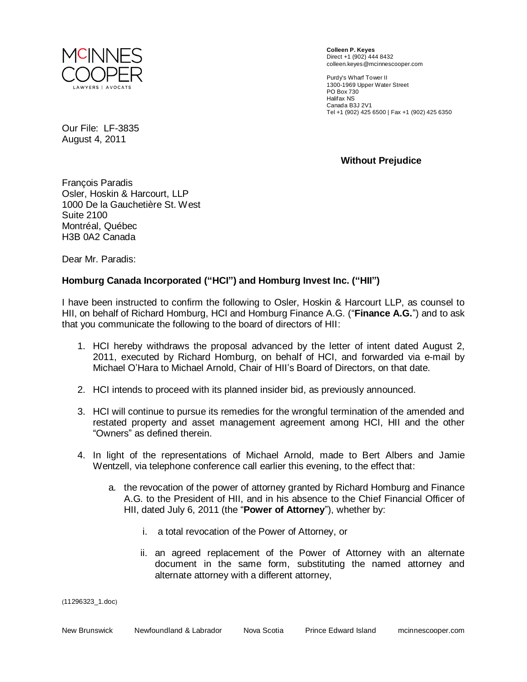

**Colleen P. Keyes**  Direct +1 (902) 444 8432 colleen.keyes@mcinnescooper.com

Purdy's Wharf Tower II 1300-1969 Upper Water Street PO Box 730 Halifax NS Canada B3J 2V1 Tel +1 (902) 425 6500 | Fax +1 (902) 425 6350

Our File: LF-3835 August 4, 2011

**Without Prejudice**

François Paradis Osler, Hoskin & Harcourt, LLP 1000 De la Gauchetière St. West Suite 2100 Montréal, Québec H3B 0A2 Canada

Dear Mr. Paradis:

## **Homburg Canada Incorporated ("HCI") and Homburg Invest Inc. ("HII")**

I have been instructed to confirm the following to Osler, Hoskin & Harcourt LLP, as counsel to HII, on behalf of Richard Homburg, HCI and Homburg Finance A.G. ("**Finance A.G.**") and to ask that you communicate the following to the board of directors of HII:

- 1. HCI hereby withdraws the proposal advanced by the letter of intent dated August 2, 2011, executed by Richard Homburg, on behalf of HCI, and forwarded via e-mail by Michael O'Hara to Michael Arnold, Chair of HII's Board of Directors, on that date.
- 2. HCI intends to proceed with its planned insider bid, as previously announced.
- 3. HCI will continue to pursue its remedies for the wrongful termination of the amended and restated property and asset management agreement among HCI, HII and the other "Owners" as defined therein.
- 4. In light of the representations of Michael Arnold, made to Bert Albers and Jamie Wentzell, via telephone conference call earlier this evening, to the effect that:
	- a. the revocation of the power of attorney granted by Richard Homburg and Finance A.G. to the President of HII, and in his absence to the Chief Financial Officer of HII, dated July 6, 2011 (the "**Power of Attorney**"), whether by:
		- i. a total revocation of the Power of Attorney, or
		- ii. an agreed replacement of the Power of Attorney with an alternate document in the same form, substituting the named attorney and alternate attorney with a different attorney,

(11296323\_1.doc)